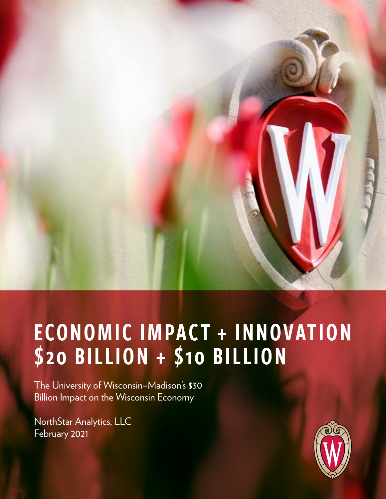

# ECONOMIC IMPACT + INNOVATION \$20 BILLION + \$10 BILLION

The University of Wisconsin–Madison's \$30 Billion Impact on the Wisconsin Economy

NorthStar Analytics, LLC February 2021

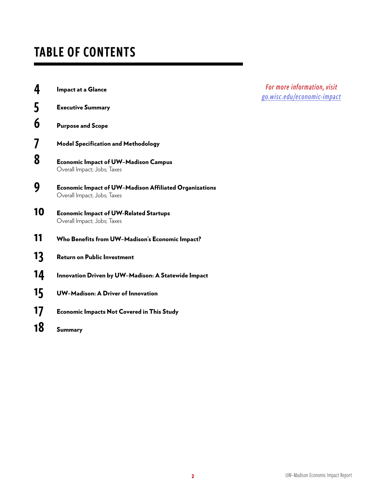# TABLE OF CONTENTS

| 4  | Impact at a Glance                                                                    |
|----|---------------------------------------------------------------------------------------|
| 5  | <b>Executive Summary</b>                                                              |
| 6  | <b>Purpose and Scope</b>                                                              |
| 7  | <b>Model Specification and Methodology</b>                                            |
| 8  | <b>Economic Impact of UW-Madison Campus</b><br>Overall Impact; Jobs; Taxes            |
| 9  | Economic Impact of UW-Madison Affiliated Organizations<br>Overall Impact; Jobs; Taxes |
| 10 | <b>Economic Impact of UW-Related Startups</b><br>Overall Impact; Jobs; Taxes          |
| 11 | Who Benefits from UW-Madison's Economic Impact?                                       |
| 13 | <b>Return on Public Investment</b>                                                    |
| 14 | Innovation Driven by UW-Madison: A Statewide Impact                                   |
| 15 | UW-Madison: A Driver of Innovation                                                    |
| 17 | <b>Economic Impacts Not Covered in This Study</b>                                     |
| 18 | Summary                                                                               |

*For more information, visit [go.wisc.edu/economic-impact](http://go.wisc.edu/economic-impact)*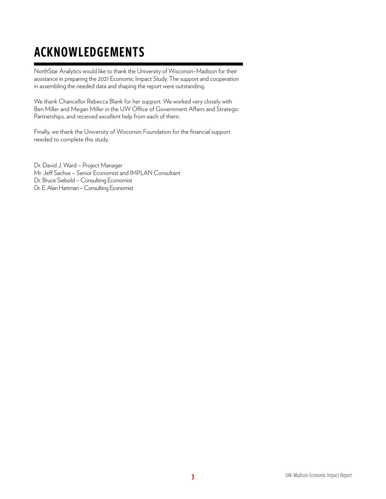# ACKNOWLEDGEMENTS

NorthStar Analytics would like to thank the University of Wisconsin–Madison for their assistance in preparing the 2021 Economic Impact Study. The support and cooperation in assembling the needed data and shaping the report were outstanding.

We thank Chancellor Rebecca Blank for her support. We worked very closely with Ben Miller and Megan Miller in the UW Office of Government Affairs and Strategic Partnerships, and received excellent help from each of them.

Finally, we thank the University of Wisconsin Foundation for the financial support needed to complete this study.

Dr. David J. Ward – Project Manager Mr. Jeff Sachse - Senior Economist and IMPLAN Consultant Dr. Bruce Siebold – Consulting Economist Dr. E. Alan Hartman – Consulting Economist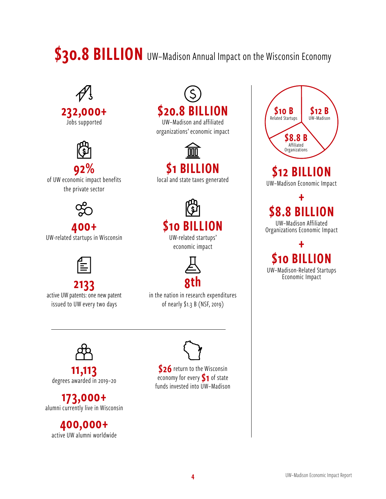# \$30.8 BILLION UW-Madison Annual Impact on the Wisconsin Economy





92% of UW economic impact benefits the private sector



400+ UW-related startups in Wisconsin



2133 active UW patents: one new patent issued to UW every two days

\$20.8 BILLION UW–Madison and affiliated

organizations' economic impact



local and state taxes generated



economic impact



in the nation in research expenditures of nearly \$1.3 B (NSF, 2019)



11,113 degrees awarded in 2019–20

173,000+ alumni currently live in Wisconsin

400,000+ active UW alumni worldwide



\$26 return to the Wisconsin economy for every  $S_1$  of state funds invested into UW–Madison



UW–Madison Economic Impact

+ **8.8 BILLION**<br>UW-Madison Affiliated

Organizations Economic Impact

+ \$10 BILLION UW–Madison-Related Startups Economic Impact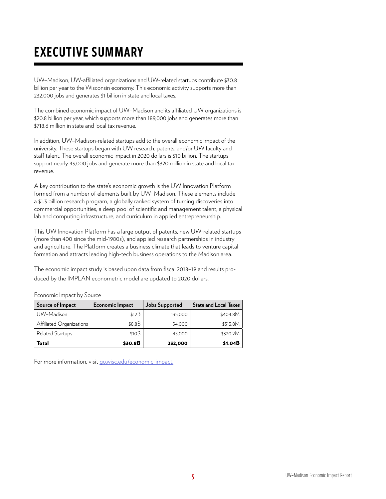# EXECUTIVE SUMMARY

UW–Madison, UW-afliated organizations and UW-related startups contribute \$30.8 billion per year to the Wisconsin economy. This economic activity supports more than 232,000 jobs and generates \$1 billion in state and local taxes.

The combined economic impact of UW–Madison and its afliated UW organizations is \$20.8 billion per year, which supports more than 189,000 jobs and generates more than \$718.6 million in state and local tax revenue.

In addition, UW–Madison-related startups add to the overall economic impact of the university. These startups began with UW research, patents, and/or UW faculty and staff talent. The overall economic impact in 2020 dollars is \$10 billion. The startups support nearly 43,000 jobs and generate more than \$320 million in state and local tax revenue.

A key contribution to the state's economic growth is the UW Innovation Platform formed from a number of elements built by UW–Madison. These elements include a \$1.3 billion research program, a globally ranked system of turning discoveries into commercial opportunities, a deep pool of scientific and management talent, a physical lab and computing infrastructure, and curriculum in applied entrepreneurship.

This UW Innovation Platform has a large output of patents, new UW-related startups (more than 400 since the mid-1980s), and applied research partnerships in industry and agriculture. The Platform creates a business climate that leads to venture capital formation and attracts leading high-tech business operations to the Madison area.

The economic impact study is based upon data from fiscal 2018-19 and results produced by the IMPLAN econometric model are updated to 2020 dollars.

Economic Impact by Source

| Source of Impact         | Economic Impact | Jobs Supported | <b>State and Local Taxes</b> |
|--------------------------|-----------------|----------------|------------------------------|
| UW-Madison               | \$12B           | 135,000        | \$404.8M                     |
| Affiliated Organizations | \$8.8B          | 54,000         | \$313.8M                     |
| <b>Related Startups</b>  | \$10B           | 43,000         | \$320.2M                     |
| Total                    | \$30.8B         | 232,000        | \$1.04B                      |

For more information, visit [go.wisc.edu/economic-impact](http://go.wisc.edu/economic-impact).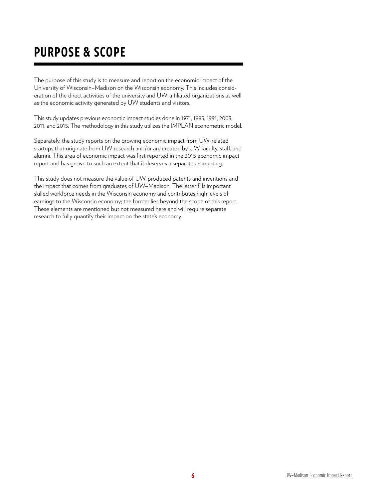# PURPOSE & SCOPE

The purpose of this study is to measure and report on the economic impact of the University of Wisconsin–Madison on the Wisconsin economy. This includes consideration of the direct activities of the university and UW-affiliated organizations as well as the economic activity generated by UW students and visitors.

This study updates previous economic impact studies done in 1971, 1985, 1991, 2003, 2011, and 2015. The methodology in this study utilizes the IMPLAN econometric model.

Separately, the study reports on the growing economic impact from UW-related startups that originate from UW research and/or are created by UW faculty, staff, and alumni. This area of economic impact was frst reported in the 2015 economic impact report and has grown to such an extent that it deserves a separate accounting.

This study does not measure the value of UW-produced patents and inventions and the impact that comes from graduates of UW-Madison. The latter fills important skilled workforce needs in the Wisconsin economy and contributes high levels of earnings to the Wisconsin economy; the former lies beyond the scope of this report. These elements are mentioned but not measured here and will require separate research to fully quantify their impact on the state's economy.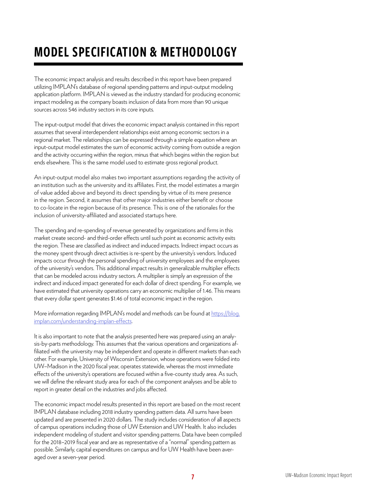# MODEL SPECIFICATION & METHODOLOGY

The economic impact analysis and results described in this report have been prepared utilizing IMPLAN's database of regional spending patterns and input-output modeling application platform. IMPLAN is viewed as the industry standard for producing economic impact modeling as the company boasts inclusion of data from more than 90 unique sources across 546 industry sectors in its core inputs.

The input-output model that drives the economic impact analysis contained in this report assumes that several interdependent relationships exist among economic sectors in a regional market. The relationships can be expressed through a simple equation where an input-output model estimates the sum of economic activity coming from outside a region and the activity occurring within the region, minus that which begins within the region but ends elsewhere. This is the same model used to estimate gross regional product.

An input-output model also makes two important assumptions regarding the activity of an institution such as the university and its afliates. First, the model estimates a margin of value added above and beyond its direct spending by virtue of its mere presence in the region. Second, it assumes that other major industries either benefit or choose to co-locate in the region because of its presence. This is one of the rationales for the inclusion of university-affiliated and associated startups here.

The spending and re-spending of revenue generated by organizations and firms in this market create second- and third-order effects until such point as economic activity exits the region. These are classifed as indirect and induced impacts. Indirect impact occurs as the money spent through direct activities is re-spent by the university's vendors. Induced impacts occur through the personal spending of university employees and the employees of the university's vendors. This additional impact results in generalizable multiplier efects that can be modeled across industry sectors. A multiplier is simply an expression of the indirect and induced impact generated for each dollar of direct spending. For example, we have estimated that university operations carry an economic multiplier of 1.46. This means that every dollar spent generates \$1.46 of total economic impact in the region.

More information regarding IMPLAN's model and methods can be found at https://blog. [implan.com/understanding-implan-efects.](https://blog.implan.com/understanding-implan-effects)

It is also important to note that the analysis presented here was prepared using an analysis-by-parts methodology. This assumes that the various operations and organizations affiliated with the university may be independent and operate in different markets than each other. For example, University of Wisconsin Extension, whose operations were folded into UW-Madison in the 2020 fiscal year, operates statewide, whereas the most immediate effects of the university's operations are focused within a five-county study area. As such, we will define the relevant study area for each of the component analyses and be able to report in greater detail on the industries and jobs afected.

The economic impact model results presented in this report are based on the most recent IMPLAN database including 2018 industry spending pattern data. All sums have been updated and are presented in 2020 dollars. The study includes consideration of all aspects of campus operations including those of UW Extension and UW Health. It also includes independent modeling of student and visitor spending patterns. Data have been compiled for the 2018–2019 fiscal year and are as representative of a "normal" spending pattern as possible. Similarly, capital expenditures on campus and for UW Health have been averaged over a seven-year period.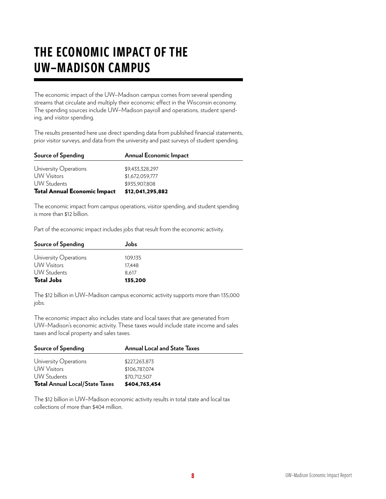# THE ECONOMIC IMPACT OF THE UW–MADISON CAMPUS

The economic impact of the UW–Madison campus comes from several spending streams that circulate and multiply their economic efect in the Wisconsin economy. The spending sources include UW–Madison payroll and operations, student spending, and visitor spending.

The results presented here use direct spending data from published financial statements, prior visitor surveys, and data from the university and past surveys of student spending.

| Source of Spending                  | Annual Economic Impact |
|-------------------------------------|------------------------|
| University Operations               | \$9.433.328.297        |
| <b>UW</b> Visitors                  | \$1,672,059,777        |
| <b>UW Students</b>                  | \$935,907,808          |
| <b>Total Annual Economic Impact</b> | \$12,041,295,882       |

The economic impact from campus operations, visitor spending, and student spending is more than \$12 billion.

Part of the economic impact includes jobs that result from the economic activity.

| Source of Spending    | Jobs.   |  |
|-----------------------|---------|--|
| University Operations | 109.135 |  |
| <b>UW</b> Visitors    | 17.448  |  |
| UW Students           | 8.617   |  |
| <b>Total Jobs</b>     | 135,200 |  |

The \$12 billion in UW–Madison campus economic activity supports more than 135,000 jobs.

The economic impact also includes state and local taxes that are generated from UW–Madison's economic activity. These taxes would include state income and sales taxes and local property and sales taxes.

| Source of Spending                    | <b>Annual Local and State Taxes</b> |
|---------------------------------------|-------------------------------------|
| University Operations                 | \$227,263,873                       |
| UW Visitors                           | \$106.787.074                       |
| <b>UW Students</b>                    | \$70.712.507                        |
| <b>Total Annual Local/State Taxes</b> | \$404,763,454                       |

The \$12 billion in UW–Madison economic activity results in total state and local tax collections of more than \$404 million.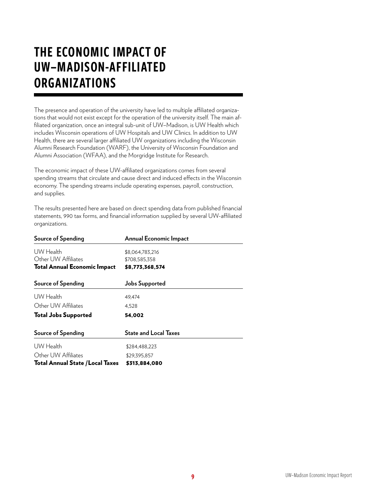# THE ECONOMIC IMPACT OF UW–MADISON-AFFILIATED **ORGANIZATIONS**

The presence and operation of the university have led to multiple affiliated organizations that would not exist except for the operation of the university itself. The main affiliated organization, once an integral sub-unit of UW-Madison, is UW Health which includes Wisconsin operations of UW Hospitals and UW Clinics. In addition to UW Health, there are several larger affiliated UW organizations including the Wisconsin Alumni Research Foundation (WARF), the University of Wisconsin Foundation and Alumni Association (WFAA), and the Morgridge Institute for Research.

The economic impact of these UW-affiliated organizations comes from several spending streams that circulate and cause direct and induced efects in the Wisconsin economy. The spending streams include operating expenses, payroll, construction, and supplies.

The results presented here are based on direct spending data from published fnancial statements, 990 tax forms, and financial information supplied by several UW-affiliated organizations.

| Source of Spending                      | <b>Annual Economic Impact</b> |  |
|-----------------------------------------|-------------------------------|--|
| UW Health                               | \$8,064,783,216               |  |
| Other UW Affiliates                     | \$708,585,358                 |  |
| <b>Total Annual Economic Impact</b>     | \$8,773,368,574               |  |
| Source of Spending                      | <b>Jobs Supported</b>         |  |
| UW Health                               | 49,474                        |  |
| Other UW Affiliates                     | 4,528                         |  |
| <b>Total Jobs Supported</b>             | 54,002                        |  |
| Source of Spending                      | State and Local Taxes         |  |
| UW Health                               | \$284,488,223                 |  |
| Other UW Affiliates                     | \$29,395,857                  |  |
| <b>Total Annual State / Local Taxes</b> | \$313,884,080                 |  |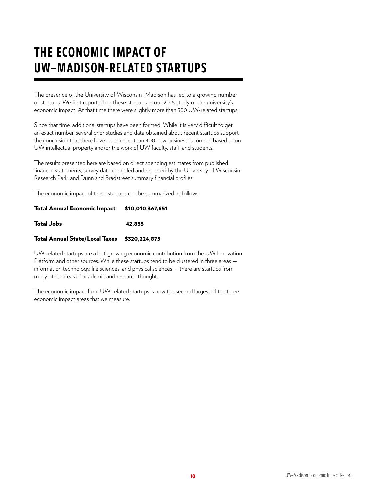# THE ECONOMIC IMPACT OF UW–MADISON-RELATED STARTUPS

The presence of the University of Wisconsin–Madison has led to a growing number of startups. We frst reported on these startups in our 2015 study of the university's economic impact. At that time there were slightly more than 300 UW-related startups.

Since that time, additional startups have been formed. While it is very difficult to get an exact number, several prior studies and data obtained about recent startups support the conclusion that there have been more than 400 new businesses formed based upon UW intellectual property and/or the work of UW faculty, staff, and students.

The results presented here are based on direct spending estimates from published fnancial statements, survey data compiled and reported by the University of Wisconsin Research Park, and Dunn and Bradstreet summary financial profiles.

The economic impact of these startups can be summarized as follows:

#### Total Annual Economic Impact \$10,010,367,651

Total Jobs 42,855

#### Total Annual State/Local Taxes \$320,224,875

UW-related startups are a fast-growing economic contribution from the UW Innovation Platform and other sources. While these startups tend to be clustered in three areas information technology, life sciences, and physical sciences — there are startups from many other areas of academic and research thought.

The economic impact from UW-related startups is now the second largest of the three economic impact areas that we measure.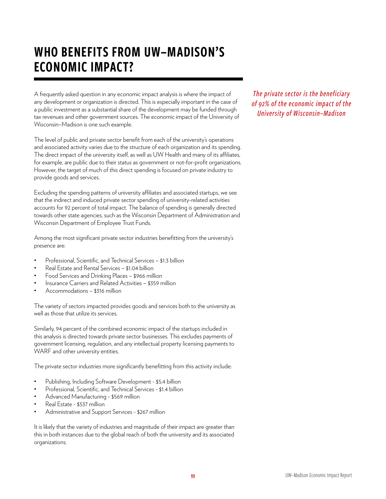# WHO BENEFITS FROM UW–MADISON'S ECONOMIC IMPACT?

A frequently asked question in any economic impact analysis is where the impact of any development or organization is directed. This is especially important in the case of a public investment as a substantial share of the development may be funded through tax revenues and other government sources. The economic impact of the University of Wisconsin–Madison is one such example.

The level of public and private sector benefit from each of the university's operations and associated activity varies due to the structure of each organization and its spending. The direct impact of the university itself, as well as UW Health and many of its afliates, for example, are public due to their status as government or not-for-profit organizations. However, the target of much of this direct spending is focused on private industry to provide goods and services.

Excluding the spending patterns of university affiliates and associated startups, we see that the indirect and induced private sector spending of university-related activities accounts for 92 percent of total impact. The balance of spending is generally directed towards other state agencies, such as the Wisconsin Department of Administration and Wisconsin Department of Employee Trust Funds.

Among the most significant private sector industries benefitting from the university's presence are:

- Professional, Scientific, and Technical Services \$1.3 billion
- Real Estate and Rental Services \$1.04 billion
- Food Services and Drinking Places \$966 million
- Insurance Carriers and Related Activities \$359 million
- Accommodations \$316 million

The variety of sectors impacted provides goods and services both to the university as well as those that utilize its services.

Similarly, 94 percent of the combined economic impact of the startups included in this analysis is directed towards private sector businesses. This excludes payments of government licensing, regulation, and any intellectual property licensing payments to WARF and other university entities.

The private sector industries more significantly benefitting from this activity include:

- Publishing, Including Software Development \$5.4 billion
- Professional, Scientific, and Technical Services \$1.4 billion
- Advanced Manufacturing \$569 million
- Real Estate \$537 million
- Administrative and Support Services \$267 million

It is likely that the variety of industries and magnitude of their impact are greater than this in both instances due to the global reach of both the university and its associated organizations.

*The private sector is the beneficiary of 92% of the economic impact of the University of Wisconsin–Madison*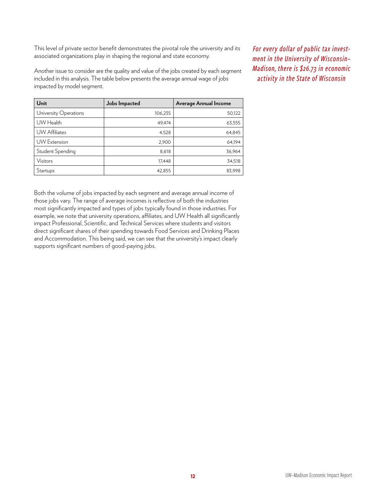This level of private sector benefit demonstrates the pivotal role the university and its associated organizations play in shaping the regional and state economy.

Another issue to consider are the quality and value of the jobs created by each segment included in this analysis. The table below presents the average annual wage of jobs impacted by model segment.

| Unit                  | Jobs Impacted | Average Annual Income |
|-----------------------|---------------|-----------------------|
| University Operations | 106,235       | 50,122                |
| UW Health             | 49,474        | 63,555                |
| <b>UW Affiliates</b>  | 4,528         | 64,845                |
| <b>UW</b> Extension   | 2,900         | 64,194                |
| Student Spending      | 8,618         | 36,964                |
| Visitors              | 17,448        | 34,518                |
| Startups              | 42,855        | 83,998                |

Both the volume of jobs impacted by each segment and average annual income of those jobs vary. The range of average incomes is refective of both the industries most signifcantly impacted and types of jobs typically found in those industries. For example, we note that university operations, affiliates, and UW Health all significantly impact Professional, Scientific, and Technical Services where students and visitors direct signifcant shares of their spending towards Food Services and Drinking Places and Accommodation. This being said, we can see that the university's impact clearly supports significant numbers of good-paying jobs.

*For every dollar of public tax investment in the University of Wisconsin– Madison, there is \$26.73 in economic activity in the State of Wisconsin*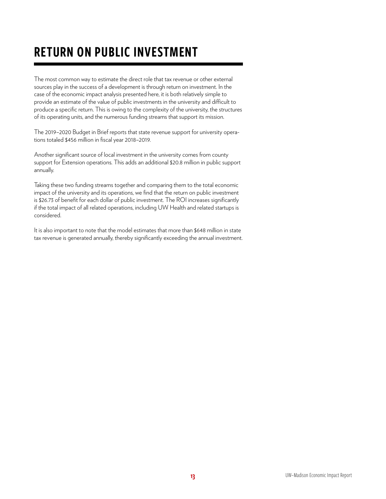# RETURN ON PUBLIC INVESTMENT

The most common way to estimate the direct role that tax revenue or other external sources play in the success of a development is through return on investment. In the case of the economic impact analysis presented here, it is both relatively simple to provide an estimate of the value of public investments in the university and difficult to produce a specifc return. This is owing to the complexity of the university, the structures of its operating units, and the numerous funding streams that support its mission.

The 2019–2020 Budget in Brief reports that state revenue support for university operations totaled \$456 million in fiscal year 2018-2019.

Another significant source of local investment in the university comes from county support for Extension operations. This adds an additional \$20.8 million in public support annually.

Taking these two funding streams together and comparing them to the total economic impact of the university and its operations, we find that the return on public investment is \$26.73 of benefit for each dollar of public investment. The ROI increases significantly if the total impact of all related operations, including UW Health and related startups is considered.

It is also important to note that the model estimates that more than \$648 million in state tax revenue is generated annually, thereby significantly exceeding the annual investment.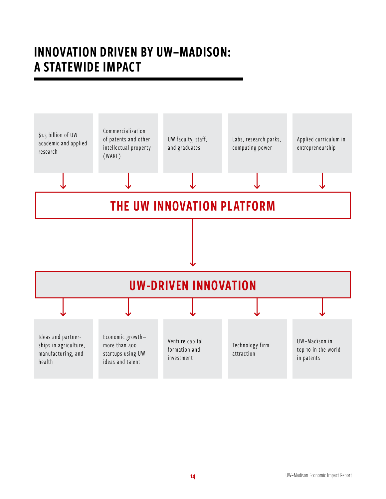# INNOVATION DRIVEN BY UW–MADISON: A STATEWIDE IMPACT

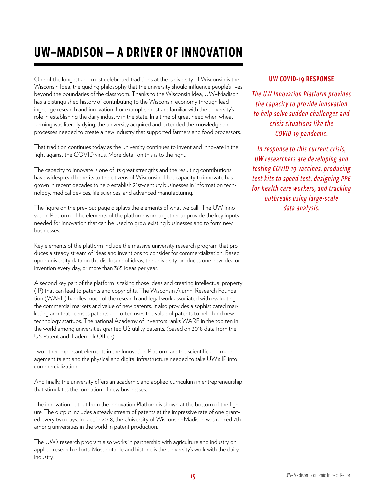# UW-MADISON - A DRIVER OF INNOVATION

One of the longest and most celebrated traditions at the University of Wisconsin is the Wisconsin Idea, the guiding philosophy that the university should infuence people's lives beyond the boundaries of the classroom. Thanks to the Wisconsin Idea, UW–Madison has a distinguished history of contributing to the Wisconsin economy through leading-edge research and innovation. For example, most are familiar with the university's role in establishing the dairy industry in the state. In a time of great need when wheat farming was literally dying, the university acquired and extended the knowledge and processes needed to create a new industry that supported farmers and food processors.

That tradition continues today as the university continues to invent and innovate in the fight against the COVID virus. More detail on this is to the right.

The capacity to innovate is one of its great strengths and the resulting contributions have widespread benefits to the citizens of Wisconsin. That capacity to innovate has grown in recent decades to help establish 21st-century businesses in information technology, medical devices, life sciences, and advanced manufacturing.

The figure on the previous page displays the elements of what we call "The UW Innovation Platform." The elements of the platform work together to provide the key inputs needed for innovation that can be used to grow existing businesses and to form new businesses.

Key elements of the platform include the massive university research program that produces a steady stream of ideas and inventions to consider for commercialization. Based upon university data on the disclosure of ideas, the university produces one new idea or invention every day, or more than 365 ideas per year.

A second key part of the platform is taking those ideas and creating intellectual property (IP) that can lead to patents and copyrights. The Wisconsin Alumni Research Foundation (WARF) handles much of the research and legal work associated with evaluating the commercial markets and value of new patents. It also provides a sophisticated marketing arm that licenses patents and often uses the value of patents to help fund new technology startups. The national Academy of Inventors ranks WARF in the top ten in the world among universities granted US utility patents. (based on 2018 data from the US Patent and Trademark Office)

Two other important elements in the Innovation Platform are the scientific and management talent and the physical and digital infrastructure needed to take UW's IP into commercialization.

And finally, the university offers an academic and applied curriculum in entrepreneurship that stimulates the formation of new businesses.

The innovation output from the Innovation Platform is shown at the bottom of the fgure. The output includes a steady stream of patents at the impressive rate of one granted every two days. In fact, in 2018, the University of Wisconsin–Madison was ranked 7th among universities in the world in patent production.

The UW's research program also works in partnership with agriculture and industry on applied research efforts. Most notable and historic is the university's work with the dairy industry.

#### UW COVID-19 RESPONSE

*The UW Innovation Platform provides the capacity to provide innovation to help solve sudden challenges and crisis situations like the COVID-19 pandemic.* 

*In response to this current crisis, UW researchers are developing and testing COVID-19 vaccines, producing test kits to speed test, designing PPE for health care workers, and tracking outbreaks using large-scale data analysis.*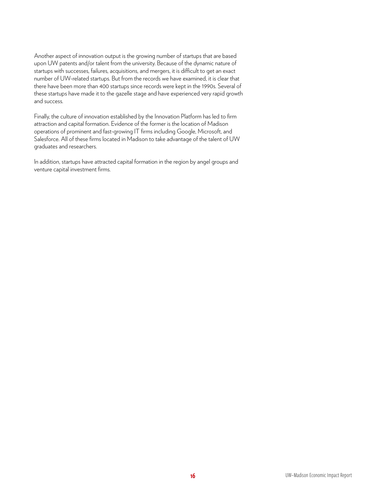Another aspect of innovation output is the growing number of startups that are based upon UW patents and/or talent from the university. Because of the dynamic nature of startups with successes, failures, acquisitions, and mergers, it is difficult to get an exact number of UW-related startups. But from the records we have examined, it is clear that there have been more than 400 startups since records were kept in the 1990s. Several of these startups have made it to the gazelle stage and have experienced very rapid growth and success.

Finally, the culture of innovation established by the Innovation Platform has led to firm attraction and capital formation. Evidence of the former is the location of Madison operations of prominent and fast-growing IT firms including Google, Microsoft, and Salesforce. All of these firms located in Madison to take advantage of the talent of UW graduates and researchers.

In addition, startups have attracted capital formation in the region by angel groups and venture capital investment firms.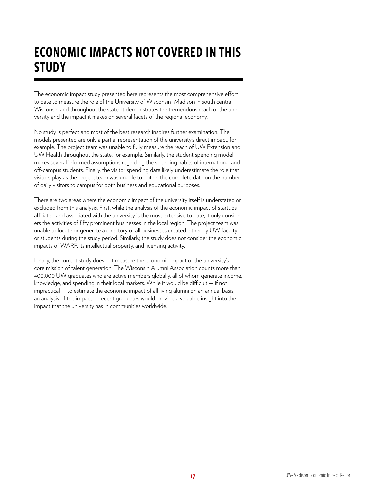# ECONOMIC IMPACTS NOT COVERED IN THIS **STUDY**

The economic impact study presented here represents the most comprehensive effort to date to measure the role of the University of Wisconsin–Madison in south central Wisconsin and throughout the state. It demonstrates the tremendous reach of the university and the impact it makes on several facets of the regional economy.

No study is perfect and most of the best research inspires further examination. The models presented are only a partial representation of the university's direct impact, for example. The project team was unable to fully measure the reach of UW Extension and UW Health throughout the state, for example. Similarly, the student spending model makes several informed assumptions regarding the spending habits of international and off-campus students. Finally, the visitor spending data likely underestimate the role that visitors play as the project team was unable to obtain the complete data on the number of daily visitors to campus for both business and educational purposes.

There are two areas where the economic impact of the university itself is understated or excluded from this analysis. First, while the analysis of the economic impact of startups affiliated and associated with the university is the most extensive to date, it only considers the activities of ffty prominent businesses in the local region. The project team was unable to locate or generate a directory of all businesses created either by UW faculty or students during the study period. Similarly, the study does not consider the economic impacts of WARF, its intellectual property, and licensing activity.

Finally, the current study does not measure the economic impact of the university's core mission of talent generation. The Wisconsin Alumni Association counts more than 400,000 UW graduates who are active members globally, all of whom generate income, knowledge, and spending in their local markets. While it would be difficult  $-$  if not impractical — to estimate the economic impact of all living alumni on an annual basis, an analysis of the impact of recent graduates would provide a valuable insight into the impact that the university has in communities worldwide.